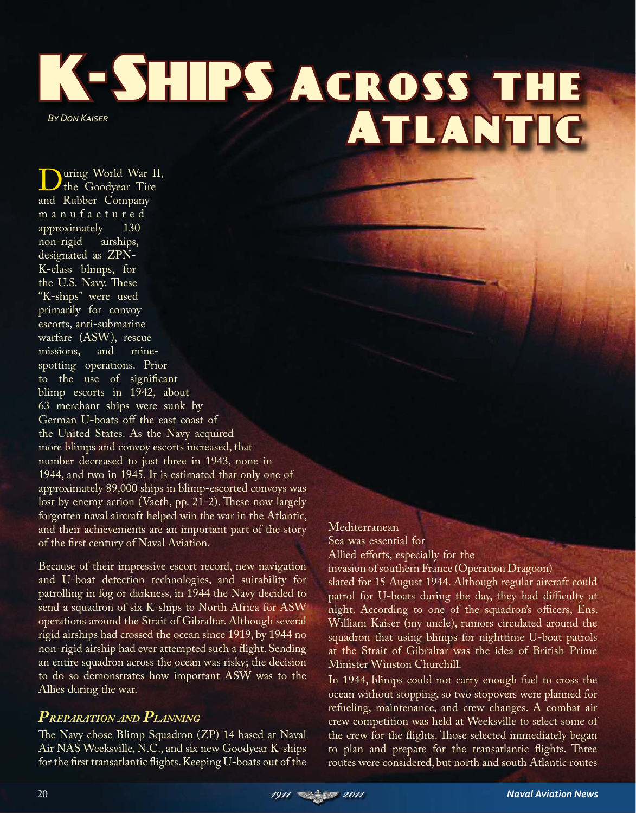K-SHIPS ACROSS THE BY DON KAISER<br>**ATLANTIC** 

**D**uring World War II,<br>the Goodyear Tire and Rubber Company m a n u f a c t u r e d approximately 130 non-rigid airships, designated as ZPN-K-class blimps, for the U.S. Navy. These "K-ships" were used primarily for convoy escorts, anti-submarine warfare (ASW), rescue missions, and minespotting operations. Prior to the use of significant blimp escorts in 1942, about 63 merchant ships were sunk by German U-boats off the east coast of the United States. As the Navy acquired more blimps and convoy escorts increased, that number decreased to just three in 1943, none in 1944, and two in 1945. It is estimated that only one of approximately 89,000 ships in blimp-escorted convoys was lost by enemy action (Vaeth, pp. 21-2). These now largely forgotten naval aircraft helped win the war in the Atlantic, and their achievements are an important part of the story of the first century of Naval Aviation.

Because of their impressive escort record, new navigation and U-boat detection technologies, and suitability for patrolling in fog or darkness, in 1944 the Navy decided to send a squadron of six K-ships to North Africa for ASW operations around the Strait of Gibraltar. Although several rigid airships had crossed the ocean since 1919, by 1944 no non-rigid airship had ever attempted such a flight. Sending an entire squadron across the ocean was risky; the decision to do so demonstrates how important ASW was to the Allies during the war.

## *PREPARATION AND PLANNING*

The Navy chose Blimp Squadron (ZP) 14 based at Naval Air NAS Weeksville, N.C., and six new Goodyear K-ships for the first transatlantic flights. Keeping U-boats out of the

## Mediterranean Sea was essential for Allied efforts, especially for the

invasion of southern France (Operation Dragoon) slated for 15 August 1944. Although regular aircraft could patrol for U-boats during the day, they had difficulty at night. According to one of the squadron's officers, Ens. William Kaiser (my uncle), rumors circulated around the squadron that using blimps for nighttime U-boat patrols at the Strait of Gibraltar was the idea of British Prime Minister Winston Churchill.

In 1944, blimps could not carry enough fuel to cross the ocean without stopping, so two stopovers were planned for refueling, maintenance, and crew changes. A combat air crew competition was held at Weeksville to select some of the crew for the flights. Those selected immediately began to plan and prepare for the transatlantic flights. Three routes were considered, but north and south Atlantic routes

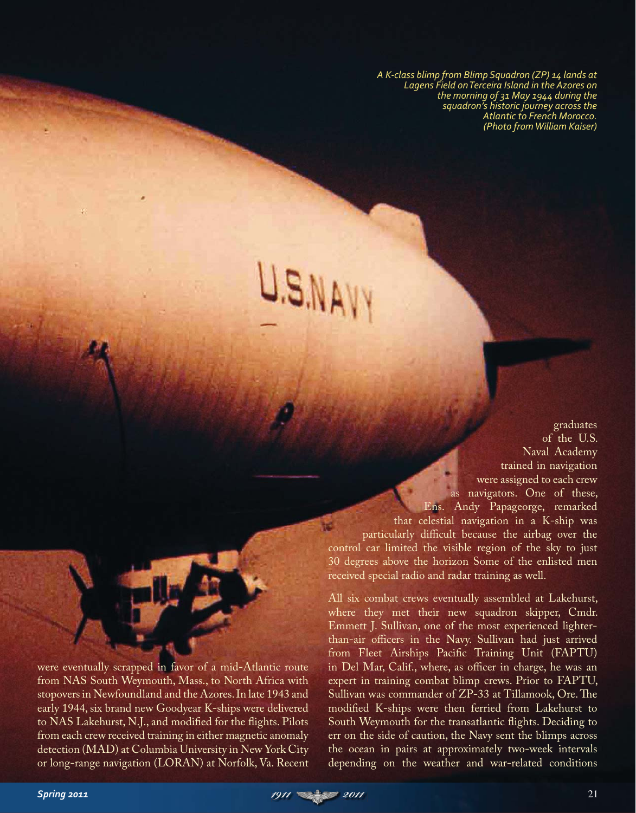A K-class blimp from Blimp Sauadron (ZP) 14 lands at *Lagens Field on* Terceira Island in the Azores on the morning of 31 May 1944 during the sauadron's historic journey across the Atlantic to French Morocco. *(Photo from William Kaiser)* 

as navigators. One of these, Ens. Andy Papageorge, remarked that celestial navigation in a K-ship was particularly difficult because the airbag over the control car limited the visible region of the sky to just 30 degrees above the horizon Some of the enlisted men received special radio and radar training as well. All six combat crews eventually assembled at Lakehurst,

were eventually scrapped in favor of a mid-Atlantic route from NAS South Weymouth, Mass., to North Africa with stopovers in Newfoundland and the Azores. In late 1943 and early 1944, six brand new Goodyear K-ships were delivered to NAS Lakehurst, N.J., and modified for the flights. Pilots from each crew received training in either magnetic anomaly detection (MAD) at Columbia University in New York City or long-range navigation (LORAN) at Norfolk, Va. Recent where they met their new squadron skipper, Cmdr. Emmett J. Sullivan, one of the most experienced lighterthan-air officers in the Navy. Sullivan had just arrived from Fleet Airships Pacific Training Unit (FAPTU) in Del Mar, Calif., where, as officer in charge, he was an expert in training combat blimp crews. Prior to FAPTU, Sullivan was commander of ZP-33 at Tillamook, Ore. The modified K-ships were then ferried from Lakehurst to South Weymouth for the transatlantic flights. Deciding to err on the side of caution, the Navy sent the blimps across the ocean in pairs at approximately two-week intervals depending on the weather and war-related conditions

graduates of the U.S. Naval Academy trained in navigation were assigned to each crew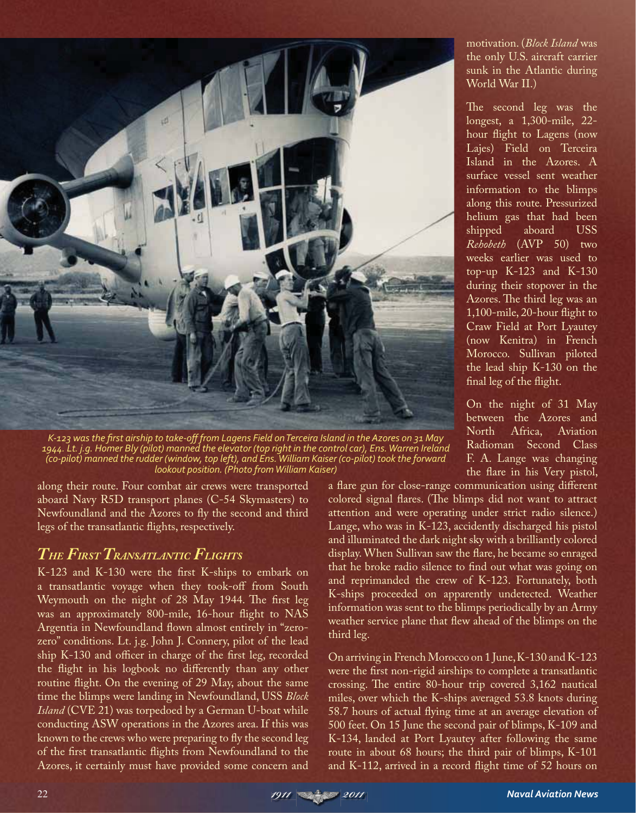

K-123 was the first airship to take-off from Lagens Field on Terceira Island in the Azores on 31 May 1944. Lt. i.a. Homer Bly (pilot) manned the elevator (top right in the control car). Ens. Warren Ireland , *d*, -pilot) manned the rudder (window, top left), and Ens. William Kaiser (co-pilot) took the forward lookout position. (Photo from William Kaiser)

along their route. Four combat air crews were transported aboard Navy R5D transport planes (C-54 Skymasters) to Newfoundland and the Azores to fly the second and third legs of the transatlantic flights, respectively.

## *THE FIRST TRANSATLANTIC FLIGHTS*

K-123 and K-130 were the first K-ships to embark on a transatlantic voyage when they took-off from South Weymouth on the night of 28 May 1944. The first leg was an approximately 800-mile, 16-hour flight to NAS Argentia in Newfoundland flown almost entirely in "zerozero" conditions. Lt. j.g. John J. Connery, pilot of the lead ship K-130 and officer in charge of the first leg, recorded the flight in his logbook no differently than any other routine flight. On the evening of 29 May, about the same time the blimps were landing in Newfoundland, USS *Block Island* (CVE 21) was torpedoed by a German U-boat while conducting ASW operations in the Azores area. If this was known to the crews who were preparing to fly the second leg of the first transatlantic flights from Newfoundland to the Azores, it certainly must have provided some concern and

motivation. (*Block Island* was the only U.S. aircraft carrier sunk in the Atlantic during World War II.)

The second leg was the longest, a 1,300-mile, 22 hour flight to Lagens (now Lajes) Field on Terceira Island in the Azores. A surface vessel sent weather information to the blimps along this route. Pressurized helium gas that had been shipped aboard USS *Rehobeth* (AVP 50) two weeks earlier was used to top-up K-123 and K-130 during their stopover in the Azores. The third leg was an 1,100-mile, 20-hour flight to Craw Field at Port Lyautey (now Kenitra) in French Morocco. Sullivan piloted the lead ship K-130 on the final leg of the flight.

On the night of 31 May between the Azores and North Africa, Aviation Radioman Second Class F. A. Lange was changing the flare in his Very pistol,

a flare gun for close-range communication using different colored signal flares. (The blimps did not want to attract attention and were operating under strict radio silence.) Lange, who was in K-123, accidently discharged his pistol and illuminated the dark night sky with a brilliantly colored display. When Sullivan saw the flare, he became so enraged that he broke radio silence to find out what was going on and reprimanded the crew of K-123. Fortunately, both K-ships proceeded on apparently undetected. Weather information was sent to the blimps periodically by an Army weather service plane that flew ahead of the blimps on the third leg.

On arriving in French Morocco on 1 June, K-130 and K-123 were the first non-rigid airships to complete a transatlantic crossing. The entire 80-hour trip covered 3,162 nautical miles, over which the K-ships averaged 53.8 knots during 58.7 hours of actual flying time at an average elevation of 500 feet. On 15 June the second pair of blimps, K-109 and K-134, landed at Port Lyautey after following the same route in about 68 hours; the third pair of blimps, K-101 and K-112, arrived in a record flight time of 52 hours on